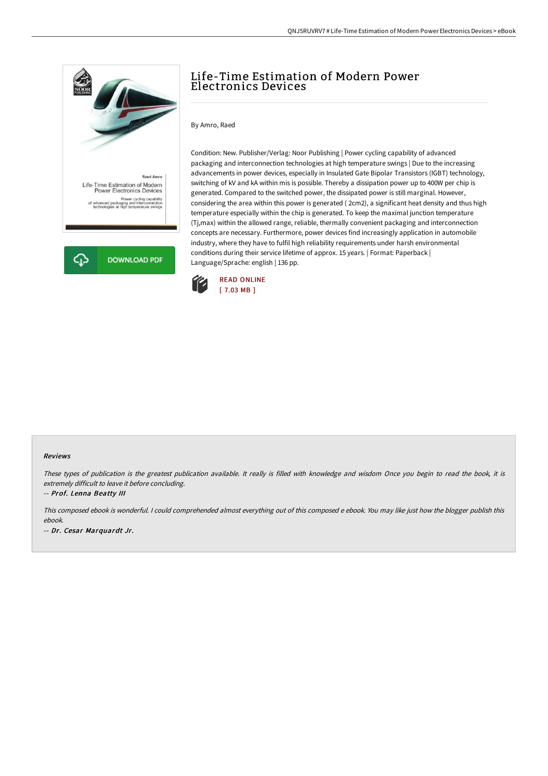

## Life-Time Estimation of Modern Power Electronics Devices

By Amro, Raed

Condition: New. Publisher/Verlag: Noor Publishing | Power cycling capability of advanced packaging and interconnection technologies at high temperature swings | Due to the increasing advancements in power devices, especially in Insulated Gate Bipolar Transistors (IGBT) technology, switching of kV and kA within mis is possible. Thereby a dissipation power up to 400W per chip is generated. Compared to the switched power, the dissipated power is still marginal. However, considering the area within this power is generated ( 2cm2), a significant heat density and thus high temperature especially within the chip is generated. To keep the maximal junction temperature (Tj,max) within the allowed range, reliable, thermally convenient packaging and interconnection concepts are necessary. Furthermore, power devices find increasingly application in automobile industry, where they have to fulfil high reliability requirements under harsh environmental conditions during their service lifetime of approx. 15 years. | Format: Paperback | Language/Sprache: english | 136 pp.



## Reviews

These types of publication is the greatest publication available. It really is filled with knowledge and wisdom Once you begin to read the book, it is extremely difficult to leave it before concluding.

-- Prof. Lenna Beatty III

This composed ebook is wonderful. <sup>I</sup> could comprehended almost everything out of this composed <sup>e</sup> ebook. You may like just how the blogger publish this ebook.

-- Dr. Cesar Marquardt Jr.